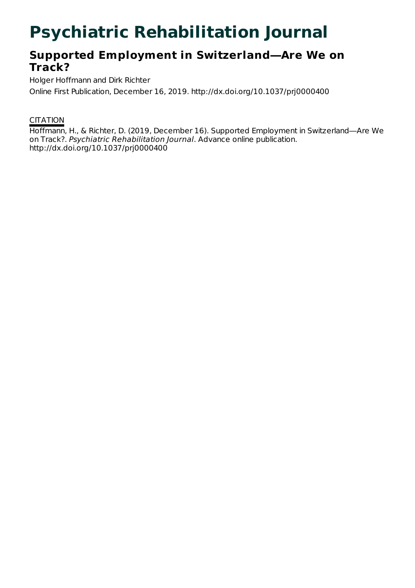# **Psychiatric Rehabilitation Journal**

## **Supported Employment in Switzerland—Are We on Track?**

Holger Hoffmann and Dirk Richter Online First Publication, December 16, 2019. http://dx.doi.org/10.1037/prj0000400

### **CITATION**

Hoffmann, H., & Richter, D. (2019, December 16). Supported Employment in Switzerland—Are We on Track?. Psychiatric Rehabilitation Journal. Advance online publication. http://dx.doi.org/10.1037/prj0000400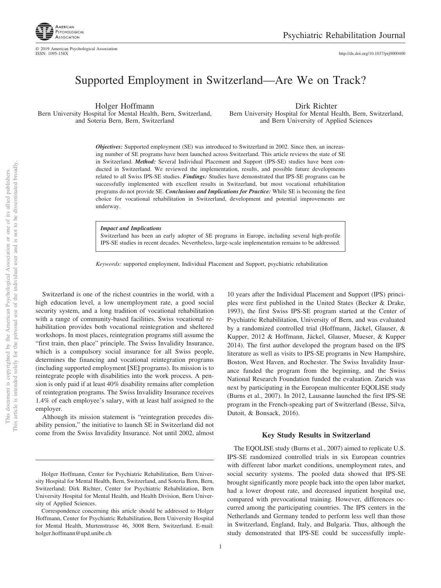

© 2019 American Psychological Association ISSN: 1095-158X

http://dx.doi.org[/10.1037/prj0000400](http://dx.doi.org/10.1037/prj0000400)

### Supported Employment in Switzerland—Are We on Track?

Holger Hoffmann Bern University Hospital for Mental Health, Bern, Switzerland, and Soteria Bern, Bern, Switzerland

Dirk Richter Bern University Hospital for Mental Health, Bern, Switzerland, and Bern University of Applied Sciences

*Objectives:* Supported employment (SE) was introduced to Switzerland in 2002. Since then, an increasing number of SE programs have been launched across Switzerland. This article reviews the state of SE in Switzerland. *Method:* Several Individual Placement and Support (IPS-SE) studies have been conducted in Switzerland. We reviewed the implementation, results, and possible future developments related to all Swiss IPS-SE studies. *Findings:* Studies have demonstrated that IPS-SE programs can be successfully implemented with excellent results in Switzerland, but most vocational rehabilitation programs do not provide SE. *Conclusions and Implications for Practice:* While SE is becoming the first choice for vocational rehabilitation in Switzerland, development and potential improvements are underway.

#### *Impact and Implications*

Switzerland has been an early adopter of SE programs in Europe, including several high-profile IPS-SE studies in recent decades. Nevertheless, large-scale implementation remains to be addressed.

*Keywords:* supported employment, Individual Placement and Support, psychiatric rehabilitation

Switzerland is one of the richest countries in the world, with a high education level, a low unemployment rate, a good social security system, and a long tradition of vocational rehabilitation with a range of community-based facilities. Swiss vocational rehabilitation provides both vocational reintegration and sheltered workshops. In most places, reintegration programs still assume the "first train, then place" principle. The Swiss Invalidity Insurance, which is a compulsory social insurance for all Swiss people, determines the financing and vocational reintegration programs (including supported employment **[**SE**]** programs). Its mission is to reintegrate people with disabilities into the work process. A pension is only paid if at least 40% disability remains after completion of reintegration programs. The Swiss Invalidity Insurance receives 1.4% of each employee's salary, with at least half assigned to the employer.

Although its mission statement is "reintegration precedes disability pension," the initiative to launch SE in Switzerland did not come from the Swiss Invalidity Insurance. Not until 2002, almost

10 years after the Individual Placement and Support (IPS) principles were first published in the United States (Becker & Drake, 1993), the first Swiss IPS-SE program started at the Center of Psychiatric Rehabilitation, University of Bern, and was evaluated by a randomized controlled trial (Hoffmann, Jäckel, Glauser, & Kupper, 2012 & Hoffmann, Jäckel, Glauser, Mueser, & Kupper 2014). The first author developed the program based on the IPS literature as well as visits to IPS-SE programs in New Hampshire, Boston, West Haven, and Rochester. The Swiss Invalidity Insurance funded the program from the beginning, and the Swiss National Research Foundation funded the evaluation. Zurich was next by participating in the European multicenter EQOLISE study [\(Burns et al., 2007\)](#page-3-0). In 2012, Lausanne launched the first IPS-SE program in the French-speaking part of Switzerland (Besse, Silva, Dutoit, & Bonsack, 2016).

#### **Key Study Results in Switzerland**

The EQOLISE study [\(Burns et al., 2007\)](#page-3-0) aimed to replicate U.S. IPS-SE randomized controlled trials in six European countries with different labor market conditions, unemployment rates, and social security systems. The pooled data showed that IPS-SE brought significantly more people back into the open labor market, had a lower dropout rate, and decreased inpatient hospital use, compared with prevocational training. However, differences occurred among the participating countries. The IPS centers in the Netherlands and Germany tended to perform less well than those in Switzerland, England, Italy, and Bulgaria. Thus, although the study demonstrated that IPS-SE could be successfully imple-

Holger Hoffmann, Center for Psychiatric Rehabilitation, Bern University Hospital for Mental Health, Bern, Switzerland, and Soteria Bern, Bern, Switzerland; Dirk Richter, Center for Psychiatric Rehabilitation, Bern University Hospital for Mental Health, and Health Division, Bern University of Applied Sciences.

Correspondence concerning this article should be addressed to Holger Hoffmann, Center for Psychiatric Rehabilitation, Bern University Hospital for Mental Health, Murtenstrasse 46, 3008 Bern, Switzerland. E-mail: [holger.hoffmann@upd.unibe.ch](mailto:holger.hoffmann@upd.unibe.ch)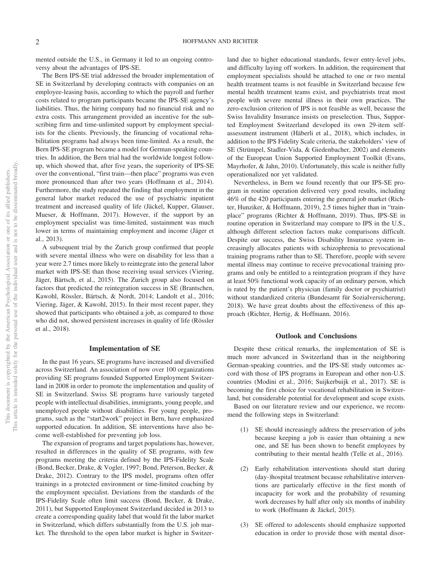mented outside the U.S., in Germany it led to an ongoing controversy about the advantages of IPS-SE.

The Bern IPS-SE trial addressed the broader implementation of SE in Switzerland by developing contracts with companies on an employee-leasing basis, according to which the payroll and further costs related to program participants became the IPS-SE agency's liabilities. Thus, the hiring company had no financial risk and no extra costs. This arrangement provided an incentive for the subscribing firm and time-unlimited support by employment specialists for the clients. Previously, the financing of vocational rehabilitation programs had always been time-limited. As a result, the Bern IPS-SE program became a model for German-speaking countries. In addition, the Bern trial had the worldwide longest followup, which showed that, after five years, the superiority of IPS-SE over the conventional, "first train—then place" programs was even more pronounced than after two years (Hoffmann et al., 2014). Furthermore, the study repeated the finding that employment in the general labor market reduced the use of psychiatric inpatient treatment and increased quality of life (Jäckel, Kupper, Glauser, Mueser, & Hoffmann, 2017). However, if the support by an employment specialist was time-limited, sustainment was much lower in terms of maintaining employment and income (Jäger et al., 2013).

A subsequent trial by the Zurich group confirmed that people with severe mental illness who were on disability for less than a year were 2.7 times more likely to reintegrate into the general labor market with IPS-SE than those receiving usual services [\(Viering,](#page-4-0) [Jäger, Bärtsch, et al., 2015\)](#page-4-0). The Zurich group also focused on factors that predicted the reintegration success in SE (Brantschen, Kawohl, Rössler, Bärtsch, & Nordt, 2014; Landolt et al., 2016; [Viering, Jäger, & Kawohl, 2015\)](#page-4-1). In their most recent paper, they showed that participants who obtained a job, as compared to those who did not, showed persistent increases in quality of life (Rössler et al., 2018).

#### **Implementation of SE**

In the past 16 years, SE programs have increased and diversified across Switzerland. An association of now over 100 organizations providing SE programs founded Supported Employment Switzerland in 2008 in order to promote the implementation and quality of SE in Switzerland. Swiss SE programs have variously targeted people with intellectual disabilities, immigrants, young people, and unemployed people without disabilities. For young people, programs, such as the "start2work" project in Bern, have emphasized supported education. In addition, SE interventions have also become well-established for preventing job loss.

The expansion of programs and target populations has, however, resulted in differences in the quality of SE programs, with few programs meeting the criteria defined by the IPS-Fidelity Scale (Bond, Becker, Drake, & Vogler, 1997; Bond, Peterson, Becker, & Drake, 2012). Contrary to the IPS model, programs often offer trainings in a protected environment or time-limited coaching by the employment specialist. Deviations from the standards of the IPS-Fidelity Scale often limit success (Bond, Becker, & Drake, 2011), but Supported Employment Switzerland decided in 2013 to create a corresponding quality label that would fit the labor market in Switzerland, which differs substantially from the U.S. job market. The threshold to the open labor market is higher in Switzerland due to higher educational standards, fewer entry-level jobs, and difficulty laying off workers. In addition, the requirement that employment specialists should be attached to one or two mental health treatment teams is not feasible in Switzerland because few mental health treatment teams exist, and psychiatrists treat most people with severe mental illness in their own practices. The zero-exclusion criterion of IPS is not feasible as well, because the Swiss Invalidity Insurance insists on preselection. Thus, Supported Employment Switzerland developed its own 29-item selfassessment instrument (Häberli et al., 2018), which includes, in addition to the IPS Fidelity Scale criteria, the stakeholders' view of SE (Strümpel, Stadler-Vida, & Giedenbacher, 2002) and elements of the European Union Supported Employment Toolkit (Evans, Mayrhofer, & Jahn, 2010). Unfortunately, this scale is neither fully operationalized nor yet validated.

Nevertheless, in Bern we found recently that our IPS-SE program in routine operation delivered very good results, including 46% of the 420 participants entering the general job market (Richter, Hunziker, & Hoffmann, 2019), 2.5 times higher than in "trainplace" programs (Richter & Hoffmann, 2019). Thus, IPS-SE in routine operation in Switzerland may compare to IPS in the U.S., although different selection factors make comparisons difficult. Despite our success, the Swiss Disability Insurance system increasingly allocates patients with schizophrenia to prevocational training programs rather than to SE. Therefore, people with severe mental illness may continue to receive prevocational training programs and only be entitled to a reintegration program if they have at least 50% functional work capacity of an ordinary person, which is rated by the patient's physician (family doctor or psychiatrist) without standardized criteria (Bundesamt für Sozialversicherung, 2018). We have great doubts about the effectiveness of this approach (Richter, Hertig, & Hoffmann, 2016).

#### **Outlook and Conclusions**

Despite these critical remarks, the implementation of SE is much more advanced in Switzerland than in the neighboring German-speaking countries, and the IPS-SE study outcomes accord with those of IPS programs in European and other non-U.S. countries (Modini et al., 2016; [Suijkerbuijk et al., 2017\)](#page-3-1). SE is becoming the first choice for vocational rehabilitation in Switzerland, but considerable potential for development and scope exists.

Based on our literature review and our experience, we recommend the following steps in Switzerland:

- (1) SE should increasingly address the preservation of jobs because keeping a job is easier than obtaining a new one, and SE has been shown to benefit employees by contributing to their mental health [\(Telle et al., 2016\)](#page-4-2).
- (2) Early rehabilitation interventions should start during (day-)hospital treatment because rehabilitative interventions are particularly effective in the first month of incapacity for work and the probability of resuming work decreases by half after only six months of inability to work (Hoffmann & Jäckel, 2015).
- (3) SE offered to adolescents should emphasize supported education in order to provide those with mental disor-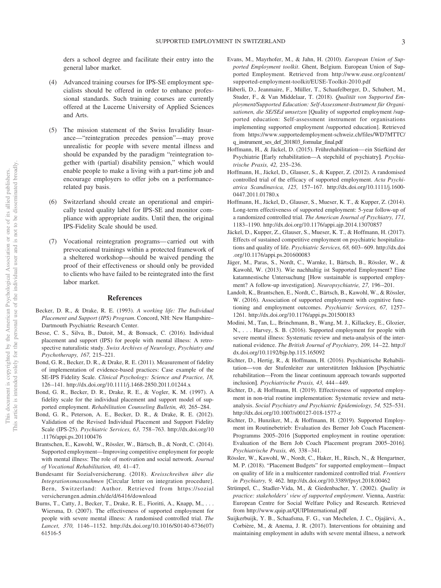ders a school degree and facilitate their entry into the general labor market.

- (4) Advanced training courses for IPS-SE employment specialists should be offered in order to enhance professional standards. Such training courses are currently offered at the Lucerne University of Applied Sciences and Arts.
- (5) The mission statement of the Swiss Invalidity Insurance—"reintegration precedes pension"—may prove unrealistic for people with severe mental illness and should be expanded by the paradigm "reintegration together with (partial) disability pension," which would enable people to make a living with a part-time job and encourage employers to offer jobs on a performancerelated pay basis.
- (6) Switzerland should create an operational and empirically tested quality label for IPS-SE and monitor compliance with appropriate audits. Until then, the original IPS-Fidelity Scale should be used.
- (7) Vocational reintegration programs— carried out with prevocational trainings within a protected framework of a sheltered workshop—should be waived pending the proof of their effectiveness or should only be provided to clients who have failed to be reintegrated into the first labor market.

#### **References**

- Becker, D. R., & Drake, R. E. (1993). *A working life: The Individual Placement and Support (IPS) Program*. Concord, NH: New Hampshire– Dartmouth Psychiatric Research Center.
- Besse, C. S., Silva, B., Dutoit, M., & Bonsack, C. (2016). Individual placement and support (IPS) for people with mental illness: A retrospective naturalistic study. *Swiss Archives of Neurology, Psychiatry and Psychotherapy, 167,* 215–221.
- Bond, G. R., Becker, D. R., & Drake, R. E. (2011). Measurement of fidelity of implementation of evidence-based practices: Case example of the SE-IPS Fidelity Scale. *Clinical Psychology: Science and Practice, 18,* 126 –141.<http://dx.doi.org/10.1111/j.1468-2850.2011.01244.x>
- Bond, G. R., Becker, D. R., Drake, R. E., & Vogler, K. M. (1997). A fidelity scale for the individual placement and support model of supported employment. *Rehabilitation Counseling Bulletin, 40,* 265–284.
- Bond, G. R., Peterson, A. E., Becker, D. R., & Drake, R. E. (2012). Validation of the Revised Individual Placement and Support Fidelity Scale (IPS-25). *Psychiatric Services, 63,* 758 –763. [http://dx.doi.org/10](http://dx.doi.org/10.1176/appi.ps.201100476) [.1176/appi.ps.201100476](http://dx.doi.org/10.1176/appi.ps.201100476)
- Brantschen, E., Kawohl, W., Rössler, W., Bärtsch, B., & Nordt, C. (2014). Supported employment—Improving competitive employment for people with mental illness: The role of motivation and social network. *Journal of Vocational Rehabilitation, 40,* 41– 47.
- Bundesamt für Sozialversicherung. (2018). *Kreisschreiben über die Integrationsmassnahmen* [Circular letter on integration procedure]. Bern, Switzerland: Author. Retrieved from [https://sozial](https://sozialversicherungen.admin.ch/de/d/6416/download) [versicherungen.admin.ch/de/d/6416/download](https://sozialversicherungen.admin.ch/de/d/6416/download)
- <span id="page-3-0"></span>Burns, T., Catty, J., Becker, T., Drake, R. E., Fioritti, A., Knapp, M.,... Wiersma, D. (2007). The effectiveness of supported employment for people with severe mental illness: A randomised controlled trial. *The Lancet, 370,* 1146 –1152. [http://dx.doi.org/10.1016/S0140-6736\(07\)](http://dx.doi.org/10.1016/S0140-6736%2807%2961516-5) [61516-5](http://dx.doi.org/10.1016/S0140-6736%2807%2961516-5)
- Evans, M., Mayrhofer, M., & Jahn, H. (2010). *European Union of Supported Employment toolkit*. Ghent, Belgium. European Union of Supported Employment. Retrieved from [http://www.euse.org/content/](http://www.euse.org/content/supported-employment-toolkit/EUSE-Toolkit-2010.pdf) [supported-employment-toolkit/EUSE-Toolkit-2010.pdf](http://www.euse.org/content/supported-employment-toolkit/EUSE-Toolkit-2010.pdf)
- Häberli, D., Jeanmaire, F., Müller, T., Schaufelberger, D., Schubert, M., Studer, F., & Van Middelaar, T. (2018). *Qualität von Supported Employment/Supported Education: Self-Assessment-Instrument für Organisationen, die SE/SEd umsetzen* [Quality of supported employment /supported education: Self-assessment instrument for organisations implementing supported employment /supported education]. Retrieved from [https://www.supportedemployment-schweiz.ch/files/WD7MTTC/](https://www.supportedemployment-schweiz.ch/files/WD7MTTC/q_instrument_ses_def_201803_formular_final.pdf) [q\\_instrument\\_ses\\_def\\_201803\\_formular\\_final.pdf](https://www.supportedemployment-schweiz.ch/files/WD7MTTC/q_instrument_ses_def_201803_formular_final.pdf)
- Hoffmann, H., & Jäckel, D. (2015). Frührehabilitation— ein Stiefkind der Psychiatrie **[**Early rehabilitation—A stepchild of psychiatry**]**. *Psychiatrische Praxis, 42,* 235–236.
- Hoffmann, H., Jäckel, D., Glauser, S., & Kupper, Z. (2012). A randomised controlled trial of the efficacy of supported employment. *Acta Psychiatrica Scandinavica, 125,* 157–167. [http://dx.doi.org/10.1111/j.1600-](http://dx.doi.org/10.1111/j.1600-0447.2011.01780.x) [0447.2011.01780.x](http://dx.doi.org/10.1111/j.1600-0447.2011.01780.x)
- Hoffmann, H., Jäckel, D., Glauser, S., Mueser, K. T., & Kupper, Z. (2014). Long-term effectiveness of supported employment: 5-year follow-up of a randomized controlled trial. *The American Journal of Psychiatry, 171,* 1183–1190.<http://dx.doi.org/10.1176/appi.ajp.2014.13070857>
- Jäckel, D., Kupper, Z., Glauser, S., Mueser, K. T., & Hoffmann, H. (2017). Effects of sustained competitive employment on psychiatric hospitalizations and quality of life. *Psychiatric Services, 68,* 603– 609. [http://dx.doi](http://dx.doi.org/10.1176/appi.ps.201600083) [.org/10.1176/appi.ps.201600083](http://dx.doi.org/10.1176/appi.ps.201600083)
- Jäger, M., Paras, S., Nordt, C., Warnke, I., Bärtsch, B., Rössler, W., & Kawohl, W. (2013). Wie nachhaltig ist Supported Employment? Eine katamnestische Untersuchung [How sustainable is supported employment? A follow-up investigation]. *Neuropsychiatrie, 27,* 196 –201.
- Landolt, K., Brantschen, E., Nordt, C., Bärtsch, B., Kawohl, W., & Rössler, W. (2016). Association of supported employment with cognitive functioning and employment outcomes. *Psychiatric Services, 67,* 1257– 1261.<http://dx.doi.org/10.1176/appi.ps.201500183>
- Modini, M., Tan, L., Brinchmann, B., Wang, M. J., Killackey, E., Glozier, N., . . . Harvey, S. B. (2016). Supported employment for people with severe mental illness: Systematic review and meta-analysis of the international evidence. *The British Journal of Psychiatry, 209,* 14 –22. [http://](http://dx.doi.org/10.1192/bjp.bp.115.165092) [dx.doi.org/10.1192/bjp.bp.115.165092](http://dx.doi.org/10.1192/bjp.bp.115.165092)
- Richter, D., Hertig, R., & Hoffmann, H. (2016). Psychiatrische Rehabilitation—von der Stufenleiter zur unterstützten Inklusion **[**Psychiatric rehabilitation—From the linear continuum approach towards supported inclusion**]**. *Psychiatrische Praxis, 43,* 444 – 449.
- Richter, D., & Hoffmann, H. (2019). Effectiveness of supported employment in non-trial routine implementation: Systematic review and metaanalysis. *Social Psychiatry and Psychiatric Epidemiology, 54,* 525–531. <http://dx.doi.org/10.1007/s00127-018-1577-z>
- Richter, D., Hunziker, M., & Hoffmann, H. (2019). Supported Employment im Routinebetrieb: Evaluation des Berner Job Coach Placement-Programms 2005–2016 [Supported employment in routine operation: Evaluation of the Bern Job Coach Placement program 2005–2016]. *Psychiatrische Praxis, 46,* 338 –341.
- Rössler, W., Kawohl, W., Nordt, C., Haker, H., Rüsch, N., & Hengartner, M. P. (2018). "Placement Budgets" for supported employment—Impact on quality of life in a multicenter randomized controlled trial. *Frontiers in Psychiatry, 9,* 462.<http://dx.doi.org/10.3389/fpsyt.2018.00462>
- Strümpel, C., Stadler-Vida, M., & Giedenbacher, Y. (2002). *Quality in practice: stakeholders' view of supported employment*. Vienna, Austria: European Centre for Social Welfare Policy and Research. Retrieved from<http://www.quip.at/QUIPInternational.pdf>
- <span id="page-3-1"></span>Suijkerbuijk, Y. B., Schaafsma, F. G., van Mechelen, J. C., Ojajärvi, A., Corbière, M., & Anema, J. R. (2017). Interventions for obtaining and maintaining employment in adults with severe mental illness, a network